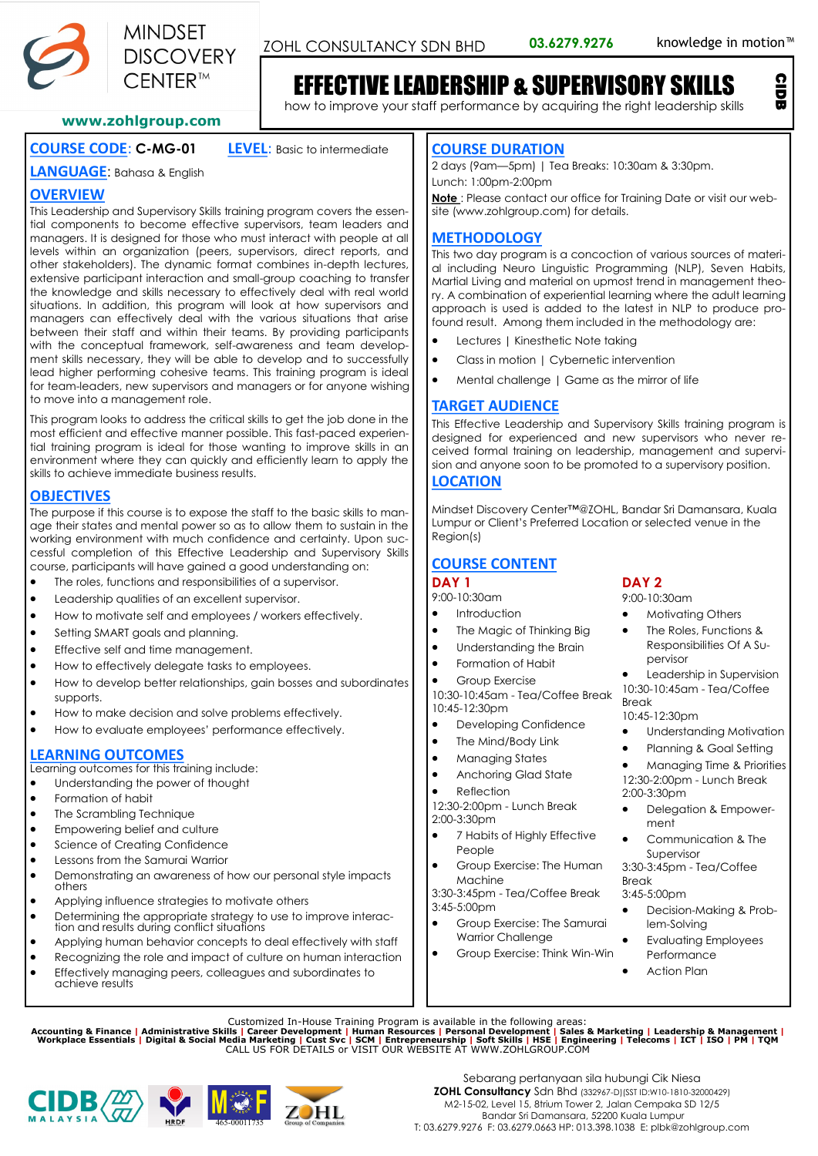

ZOHL CONSULTANCY SDN BHD 03.6279.9276 knowledge in motion<sup>™</sup>

CIDB

# EFFECTIVE LEADERSHIP & SUPERVISORY SKILLS

how to improve your staff performance by acquiring the right leadership skills

### **www.zohlgroup.com**

## **COURSE CODE**: **C-MG-01 LEVEL**: Basic to intermediate

**LANGUAGE**: Bahasa & English

## **OVERVIEW**

This Leadership and Supervisory Skills training program covers the essential components to become effective supervisors, team leaders and managers. It is designed for those who must interact with people at all levels within an organization (peers, supervisors, direct reports, and other stakeholders). The dynamic format combines in-depth lectures, extensive participant interaction and small-group coaching to transfer the knowledge and skills necessary to effectively deal with real world situations. In addition, this program will look at how supervisors and managers can effectively deal with the various situations that arise between their staff and within their teams. By providing participants with the conceptual framework, self-awareness and team development skills necessary, they will be able to develop and to successfully lead higher performing cohesive teams. This training program is ideal for team-leaders, new supervisors and managers or for anyone wishing to move into a management role.

This program looks to address the critical skills to get the job done in the most efficient and effective manner possible. This fast-paced experiential training program is ideal for those wanting to improve skills in an environment where they can quickly and efficiently learn to apply the skills to achieve immediate business results.

## **OBJECTIVES**

The purpose if this course is to expose the staff to the basic skills to manage their states and mental power so as to allow them to sustain in the working environment with much confidence and certainty. Upon successful completion of this Effective Leadership and Supervisory Skills course, participants will have gained a good understanding on:

- The roles, functions and responsibilities of a supervisor.
- Leadership qualities of an excellent supervisor.
- How to motivate self and employees / workers effectively.
- Setting SMART goals and planning.
- Effective self and time management.
- How to effectively delegate tasks to employees.
- How to develop better relationships, gain bosses and subordinates supports.
- How to make decision and solve problems effectively.
- How to evaluate employees' performance effectively.

## **LEARNING OUTCOMES**

Learning outcomes for this training include:

- Understanding the power of thought
- Formation of habit
- The Scrambling Technique
- Empowering belief and culture
- Science of Creating Confidence
- Lessons from the Samurai Warrior
- Demonstrating an awareness of how our personal style impacts others
- Applying influence strategies to motivate others
- Determining the appropriate strategy to use to improve interaction and results during conflict situations
- Applying human behavior concepts to deal effectively with staff
- Recognizing the role and impact of culture on human interaction
- Effectively managing peers, colleagues and subordinates to achieve results

### **COURSE DURATION**

2 days (9am—5pm) | Tea Breaks: 10:30am & 3:30pm. Lunch: 1:00pm-2:00pm

**Note** : Please contact our office for Training Date or visit our website (www.zohlgroup.com) for details.

## **METHODOLOGY**

This two day program is a concoction of various sources of material including Neuro Linguistic Programming (NLP), Seven Habits, Martial Living and material on upmost trend in management theory. A combination of experiential learning where the adult learning approach is used is added to the latest in NLP to produce profound result. Among them included in the methodology are:

- Lectures | Kinesthetic Note taking
- Class in motion | Cybernetic intervention
- Mental challenge | Game as the mirror of life

## **TARGET AUDIENCE**

This Effective Leadership and Supervisory Skills training program is designed for experienced and new supervisors who never received formal training on leadership, management and supervision and anyone soon to be promoted to a supervisory position.

## **LOCATION**

Mindset Discovery Center™@ZOHL, Bandar Sri Damansara, Kuala Lumpur or Client's Preferred Location or selected venue in the Region(s)

## **COURSE CONTENT**

#### **DAY 1** 9:00-10:30am

- **Introduction**
- The Magic of Thinking Big
- Understanding the Brain
- Formation of Habit
- Group Exercise

10:30-10:45am - Tea/Coffee Break 10:45-12:30pm

- Developing Confidence
- The Mind/Body Link
- Managing States
- Anchoring Glad State
- **Reflection**

12:30-2:00pm - Lunch Break 2:00-3:30pm

- 7 Habits of Highly Effective People
- Group Exercise: The Human Machine

 $3:45-5:00nm$ 

- 
- 

#### **DAY 2** 9:00-10:30am

- Motivating Others
- The Roles, Functions & Responsibilities Of A Supervisor

• Leadership in Supervision 10:30-10:45am - Tea/Coffee Break

#### 10:45-12:30pm

- Understanding Motivation
- Planning & Goal Setting

• Managing Time & Priorities 12:30-2:00pm - Lunch Break 2:00-3:30pm

- Delegation & Empowerment
- Communication & The Supervisor

3:30-3:45pm - Tea/Coffee Break 3:45-5:00pm

- Decision-Making & Problem-Solving
- Evaluating Employees Performance
- Action Plan

Customized In-House Training Program is available in the following areas:<br>Accounting & Finance | Administrative Skills | Career Development | Human Resources | Personal Development | Sales & Marketing | Leadership & Manage







- 
- 3:30-3:45pm Tea/Coffee Break
- Group Exercise: The Samurai
- Group Exercise: Think Win-Win
- 
- 
- 

- Warrior Challenge
-